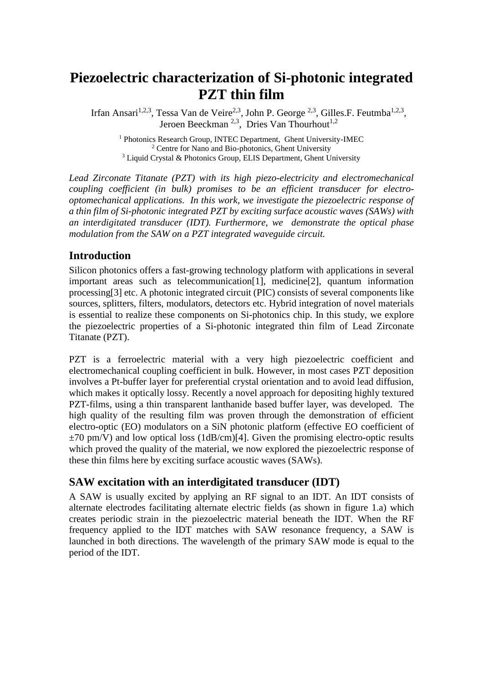# **Piezoelectric characterization of Si-photonic integrated PZT thin film**

Irfan Ansari<sup>1,2,3</sup>, Tessa Van de Veire<sup>2,3</sup>, John P. George<sup>2,3</sup>, Gilles.F. Feutmba<sup>1,2,3</sup>, Jeroen Beeckman  $^{2,3}$ . Dries Van Thourhout<sup>1,2</sup>

<sup>1</sup> Photonics Research Group, INTEC Department, Ghent University-IMEC <sup>2</sup> Centre for Nano and Bio-photonics, Ghent University <sup>3</sup> Liquid Crystal & Photonics Group, ELIS Department, Ghent University

*Lead Zirconate Titanate (PZT) with its high piezo-electricity and electromechanical coupling coefficient (in bulk) promises to be an efficient transducer for electrooptomechanical applications. In this work, we investigate the piezoelectric response of a thin film of Si-photonic integrated PZT by exciting surface acoustic waves (SAWs) with an interdigitated transducer (IDT). Furthermore, we demonstrate the optical phase modulation from the SAW on a PZT integrated waveguide circuit.* 

# **Introduction**

Silicon photonics offers a fast-growing technology platform with applications in several important areas such as telecommunication<sup>[1]</sup>, medicine<sup>[2]</sup>, quantum information processing[3] etc. A photonic integrated circuit (PIC) consists of several components like sources, splitters, filters, modulators, detectors etc. Hybrid integration of novel materials is essential to realize these components on Si-photonics chip. In this study, we explore the piezoelectric properties of a Si-photonic integrated thin film of Lead Zirconate Titanate (PZT).

PZT is a ferroelectric material with a very high piezoelectric coefficient and electromechanical coupling coefficient in bulk. However, in most cases PZT deposition involves a Pt-buffer layer for preferential crystal orientation and to avoid lead diffusion, which makes it optically lossy. Recently a novel approach for depositing highly textured PZT-films, using a thin transparent lanthanide based buffer layer, was developed. The high quality of the resulting film was proven through the demonstration of efficient electro-optic (EO) modulators on a SiN photonic platform (effective EO coefficient of  $\pm$ 70 pm/V) and low optical loss (1dB/cm)[4]. Given the promising electro-optic results which proved the quality of the material, we now explored the piezoelectric response of these thin films here by exciting surface acoustic waves (SAWs).

# **SAW excitation with an interdigitated transducer (IDT)**

A SAW is usually excited by applying an RF signal to an IDT. An IDT consists of alternate electrodes facilitating alternate electric fields (as shown in figure 1.a) which creates periodic strain in the piezoelectric material beneath the IDT. When the RF frequency applied to the IDT matches with SAW resonance frequency, a SAW is launched in both directions. The wavelength of the primary SAW mode is equal to the period of the IDT.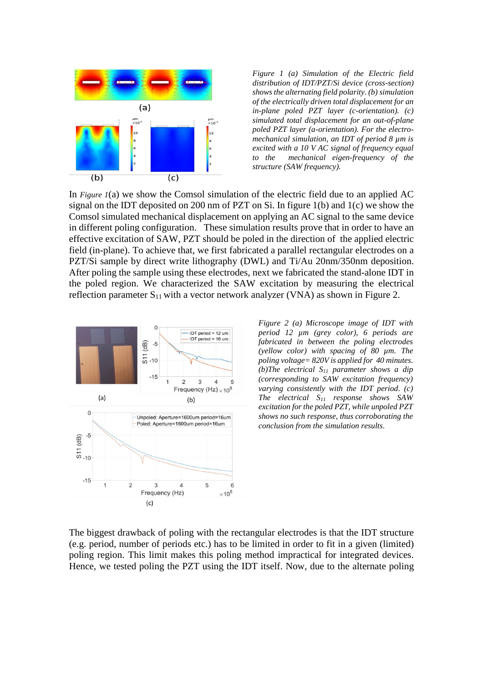

<span id="page-1-0"></span>*Figure 1 (a) Simulation of the Electric field distribution of IDT/PZT/Si device (cross-section) shows the alternating field polarity. (b) simulation of the electrically driven total displacement for an in-plane poled PZT layer (c-orientation). (c) simulated total displacement for an out-of-plane poled PZT layer (a-orientation). For the electromechanical simulation, an IDT of period 8 µm is excited with a 10 V AC signal of frequency equal to the mechanical eigen-frequency of the structure (SAW frequency).* 

In *[Figure 1](#page-1-0)*(a) we show the Comsol simulation of the electric field due to an applied AC signal on the IDT deposited on 200 nm of PZT on Si. In figure 1(b) and 1(c) we show the Comsol simulated mechanical displacement on applying an AC signal to the same device in different poling configuration. These simulation results prove that in order to have an effective excitation of SAW, PZT should be poled in the direction of the applied electric field (in-plane). To achieve that, we first fabricated a parallel rectangular electrodes on a PZT/Si sample by direct write lithography (DWL) and Ti/Au 20nm/350nm deposition. After poling the sample using these electrodes, next we fabricated the stand-alone IDT in the poled region. We characterized the SAW excitation by measuring the electrical reflection parameter  $S_{11}$  with a vector network analyzer (VNA) as shown in [Figure 2.](#page-1-1)



<span id="page-1-1"></span>*Figure 2 (a) Microscope image of IDT with period 12 µm (grey color), 6 periods are fabricated in between the poling electrodes (yellow color) with spacing of 80 µm. The poling voltage= 820V is applied for 40 minutes. (b)The electrical S<sup>11</sup> parameter shows a dip (corresponding to SAW excitation frequency) varying consistently with the IDT period. (c) The electrical S<sup>11</sup> response shows SAW excitation for the poled PZT, while unpoled PZT shows no such response, thus corroborating the conclusion from the simulation results.*

The biggest drawback of poling with the rectangular electrodes is that the IDT structure (e.g. period, number of periods etc.) has to be limited in order to fit in a given (limited) poling region. This limit makes this poling method impractical for integrated devices. Hence, we tested poling the PZT using the IDT itself. Now, due to the alternate poling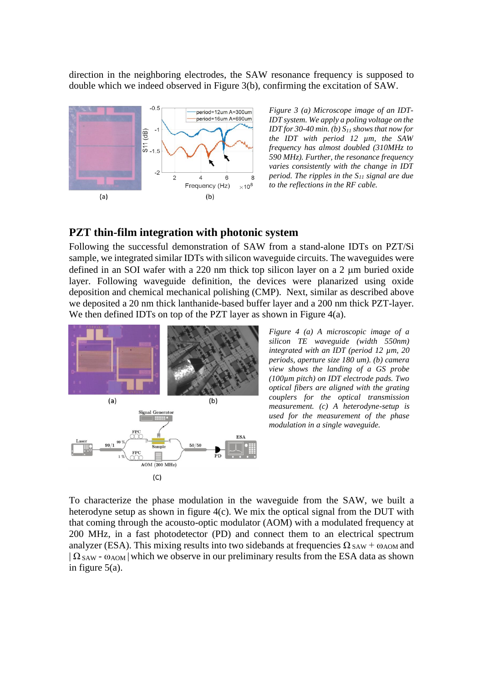direction in the neighboring electrodes, the SAW resonance frequency is supposed to double which we indeed observed in [Figure 3\(](#page-2-0)b), confirming the excitation of SAW.



<span id="page-2-0"></span>*Figure 3 (a) Microscope image of an IDT-IDT system. We apply a poling voltage on the IDT for 30-40 min. (b) S<sup>11</sup> shows that now for the IDT with period 12 µm, the SAW frequency has almost doubled (310MHz to 590 MHz). Further, the resonance frequency varies consistently with the change in IDT period. The ripples in the S<sup>11</sup> signal are due to the reflections in the RF cable.* 

## **PZT thin-film integration with photonic system**

Following the successful demonstration of SAW from a stand-alone IDTs on PZT/Si sample, we integrated similar IDTs with silicon waveguide circuits. The waveguides were defined in an SOI wafer with a  $220$  nm thick top silicon layer on a  $2 \mu m$  buried oxide layer. Following waveguide definition, the devices were planarized using oxide deposition and chemical mechanical polishing (CMP). Next, similar as described above we deposited a 20 nm thick lanthanide-based buffer layer and a 200 nm thick PZT-layer. We then defined IDTs on top of the PZT layer as shown in [Figure 4\(](#page-2-1)a).



<span id="page-2-1"></span>*Figure 4 (a) A microscopic image of a silicon TE waveguide (width 550nm) integrated with an IDT (period 12 µm, 20 periods, aperture size 180 um). (b) camera view shows the landing of a GS probe (100µm pitch) on IDT electrode pads. Two optical fibers are aligned with the grating couplers for the optical transmission measurement. (c) A heterodyne-setup is used for the measurement of the phase modulation in a single waveguide.* 

To characterize the phase modulation in the waveguide from the SAW, we built a heterodyne setup as shown in figure 4(c). We mix the optical signal from the DUT with that coming through the acousto-optic modulator (AOM) with a modulated frequency at 200 MHz, in a fast photodetector (PD) and connect them to an electrical spectrum analyzer (ESA). This mixing results into two sidebands at frequencies  $\Omega_{\text{SAW}} + \omega_{\text{AOM}}$  and  $|\Omega_{SAW}$  -  $\omega_{AOM}|$  which we observe in our preliminary results from the ESA data as shown in figure 5(a).